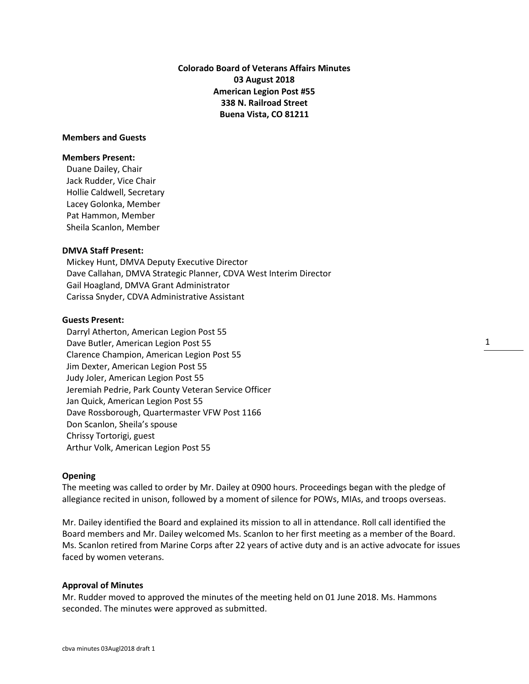**Colorado Board of Veterans Affairs Minutes 03 August 2018 American Legion Post #55 338 N. Railroad Street Buena Vista, CO 81211**

# **Members and Guests**

# **Members Present:**

Duane Dailey, Chair Jack Rudder, Vice Chair Hollie Caldwell, Secretary Lacey Golonka, Member Pat Hammon, Member Sheila Scanlon, Member

# **DMVA Staff Present:**

Mickey Hunt, DMVA Deputy Executive Director Dave Callahan, DMVA Strategic Planner, CDVA West Interim Director Gail Hoagland, DMVA Grant Administrator Carissa Snyder, CDVA Administrative Assistant

# **Guests Present:**

Darryl Atherton, American Legion Post 55 Dave Butler, American Legion Post 55 Clarence Champion, American Legion Post 55 Jim Dexter, American Legion Post 55 Judy Joler, American Legion Post 55 Jeremiah Pedrie, Park County Veteran Service Officer Jan Quick, American Legion Post 55 Dave Rossborough, Quartermaster VFW Post 1166 Don Scanlon, Sheila's spouse Chrissy Tortorigi, guest Arthur Volk, American Legion Post 55

### **Opening**

The meeting was called to order by Mr. Dailey at 0900 hours. Proceedings began with the pledge of allegiance recited in unison, followed by a moment of silence for POWs, MIAs, and troops overseas.

Mr. Dailey identified the Board and explained its mission to all in attendance. Roll call identified the Board members and Mr. Dailey welcomed Ms. Scanlon to her first meeting as a member of the Board. Ms. Scanlon retired from Marine Corps after 22 years of active duty and is an active advocate for issues faced by women veterans.

### **Approval of Minutes**

Mr. Rudder moved to approved the minutes of the meeting held on 01 June 2018. Ms. Hammons seconded. The minutes were approved as submitted.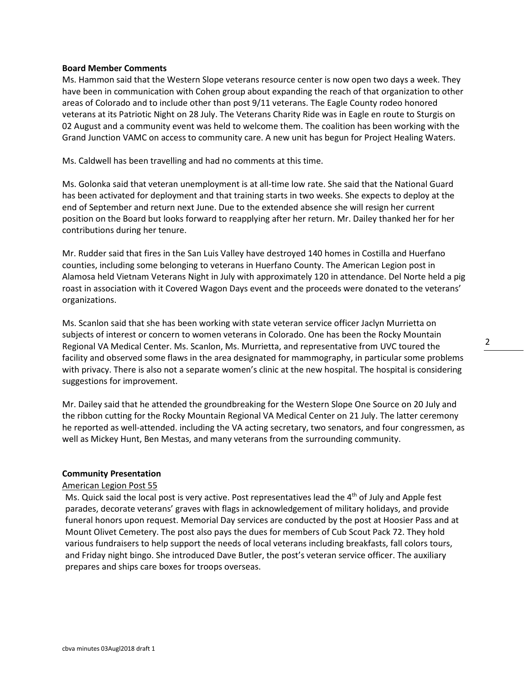# **Board Member Comments**

Ms. Hammon said that the Western Slope veterans resource center is now open two days a week. They have been in communication with Cohen group about expanding the reach of that organization to other areas of Colorado and to include other than post 9/11 veterans. The Eagle County rodeo honored veterans at its Patriotic Night on 28 July. The Veterans Charity Ride was in Eagle en route to Sturgis on 02 August and a community event was held to welcome them. The coalition has been working with the Grand Junction VAMC on access to community care. A new unit has begun for Project Healing Waters.

Ms. Caldwell has been travelling and had no comments at this time.

Ms. Golonka said that veteran unemployment is at all-time low rate. She said that the National Guard has been activated for deployment and that training starts in two weeks. She expects to deploy at the end of September and return next June. Due to the extended absence she will resign her current position on the Board but looks forward to reapplying after her return. Mr. Dailey thanked her for her contributions during her tenure.

Mr. Rudder said that fires in the San Luis Valley have destroyed 140 homes in Costilla and Huerfano counties, including some belonging to veterans in Huerfano County. The American Legion post in Alamosa held Vietnam Veterans Night in July with approximately 120 in attendance. Del Norte held a pig roast in association with it Covered Wagon Days event and the proceeds were donated to the veterans' organizations.

Ms. Scanlon said that she has been working with state veteran service officer Jaclyn Murrietta on subjects of interest or concern to women veterans in Colorado. One has been the Rocky Mountain Regional VA Medical Center. Ms. Scanlon, Ms. Murrietta, and representative from UVC toured the facility and observed some flaws in the area designated for mammography, in particular some problems with privacy. There is also not a separate women's clinic at the new hospital. The hospital is considering suggestions for improvement.

Mr. Dailey said that he attended the groundbreaking for the Western Slope One Source on 20 July and the ribbon cutting for the Rocky Mountain Regional VA Medical Center on 21 July. The latter ceremony he reported as well-attended. including the VA acting secretary, two senators, and four congressmen, as well as Mickey Hunt, Ben Mestas, and many veterans from the surrounding community.

### **Community Presentation**

### American Legion Post 55

Ms. Quick said the local post is very active. Post representatives lead the  $4<sup>th</sup>$  of July and Apple fest parades, decorate veterans' graves with flags in acknowledgement of military holidays, and provide funeral honors upon request. Memorial Day services are conducted by the post at Hoosier Pass and at Mount Olivet Cemetery. The post also pays the dues for members of Cub Scout Pack 72. They hold various fundraisers to help support the needs of local veterans including breakfasts, fall colors tours, and Friday night bingo. She introduced Dave Butler, the post's veteran service officer. The auxiliary prepares and ships care boxes for troops overseas.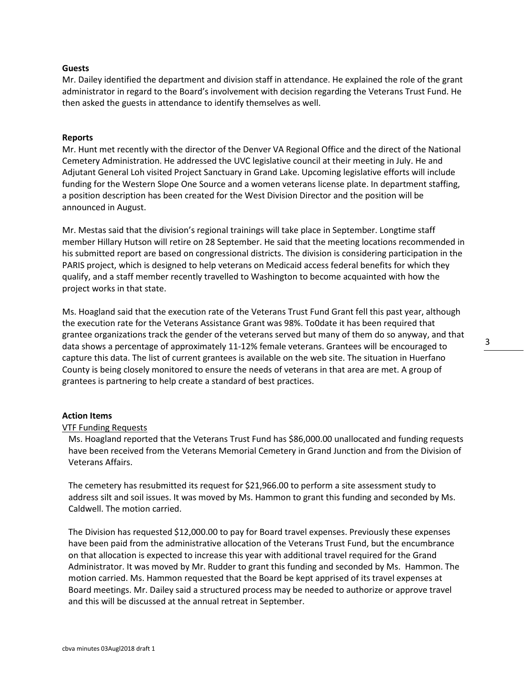# **Guests**

Mr. Dailey identified the department and division staff in attendance. He explained the role of the grant administrator in regard to the Board's involvement with decision regarding the Veterans Trust Fund. He then asked the guests in attendance to identify themselves as well.

# **Reports**

Mr. Hunt met recently with the director of the Denver VA Regional Office and the direct of the National Cemetery Administration. He addressed the UVC legislative council at their meeting in July. He and Adjutant General Loh visited Project Sanctuary in Grand Lake. Upcoming legislative efforts will include funding for the Western Slope One Source and a women veterans license plate. In department staffing, a position description has been created for the West Division Director and the position will be announced in August.

Mr. Mestas said that the division's regional trainings will take place in September. Longtime staff member Hillary Hutson will retire on 28 September. He said that the meeting locations recommended in his submitted report are based on congressional districts. The division is considering participation in the PARIS project, which is designed to help veterans on Medicaid access federal benefits for which they qualify, and a staff member recently travelled to Washington to become acquainted with how the project works in that state.

Ms. Hoagland said that the execution rate of the Veterans Trust Fund Grant fell this past year, although the execution rate for the Veterans Assistance Grant was 98%. To0date it has been required that grantee organizations track the gender of the veterans served but many of them do so anyway, and that data shows a percentage of approximately 11-12% female veterans. Grantees will be encouraged to capture this data. The list of current grantees is available on the web site. The situation in Huerfano County is being closely monitored to ensure the needs of veterans in that area are met. A group of grantees is partnering to help create a standard of best practices.

## **Action Items**

# VTF Funding Requests

Ms. Hoagland reported that the Veterans Trust Fund has \$86,000.00 unallocated and funding requests have been received from the Veterans Memorial Cemetery in Grand Junction and from the Division of Veterans Affairs.

The cemetery has resubmitted its request for \$21,966.00 to perform a site assessment study to address silt and soil issues. It was moved by Ms. Hammon to grant this funding and seconded by Ms. Caldwell. The motion carried.

The Division has requested \$12,000.00 to pay for Board travel expenses. Previously these expenses have been paid from the administrative allocation of the Veterans Trust Fund, but the encumbrance on that allocation is expected to increase this year with additional travel required for the Grand Administrator. It was moved by Mr. Rudder to grant this funding and seconded by Ms. Hammon. The motion carried. Ms. Hammon requested that the Board be kept apprised of its travel expenses at Board meetings. Mr. Dailey said a structured process may be needed to authorize or approve travel and this will be discussed at the annual retreat in September.